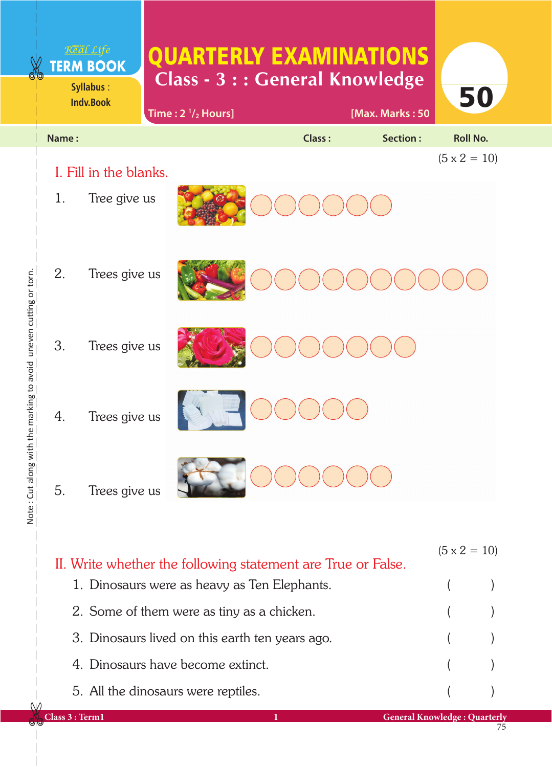|                                              |       | Real Life<br><b>TERM BOOK</b><br>Syllabus:<br><b>Indv.Book</b> | Time: $2 \frac{1}{2}$ Hours] |        | <b>QUARTERLY EXAMINATIONS</b><br><b>Class - 3 : : General Knowledge</b><br>[Max. Marks: 50 | 50                  |
|----------------------------------------------|-------|----------------------------------------------------------------|------------------------------|--------|--------------------------------------------------------------------------------------------|---------------------|
|                                              | Name: |                                                                |                              | Class: | <b>Section:</b>                                                                            | <b>Roll No.</b>     |
| the marking to avoid uneven cutting or torn. |       | I. Fill in the blanks.                                         |                              |        |                                                                                            | $(5 \times 2 = 10)$ |
|                                              | 1.    | Tree give us                                                   |                              |        |                                                                                            |                     |
|                                              | 2.    | Trees give us                                                  |                              |        |                                                                                            |                     |
|                                              | 3.    | Trees give us                                                  |                              |        |                                                                                            |                     |
|                                              | 4.    | Trees give us                                                  |                              |        |                                                                                            |                     |
| Note: Cut along with                         | 5.    | Trees give us                                                  |                              |        |                                                                                            |                     |
|                                              |       |                                                                |                              |        |                                                                                            | $(5 \times 2 = 10)$ |

| II. Write whether the following statement are True or False. |  |  |  |  |  |  |  |
|--------------------------------------------------------------|--|--|--|--|--|--|--|
| 1. Dinosaurs were as heavy as Ten Elephants.                 |  |  |  |  |  |  |  |
| 2. Some of them were as tiny as a chicken.                   |  |  |  |  |  |  |  |
| 3. Dinosaurs lived on this earth ten years ago.              |  |  |  |  |  |  |  |
| 4. Dinosaurs have become extinct.                            |  |  |  |  |  |  |  |
| 5. All the dinosaurs were reptiles.                          |  |  |  |  |  |  |  |
|                                                              |  |  |  |  |  |  |  |